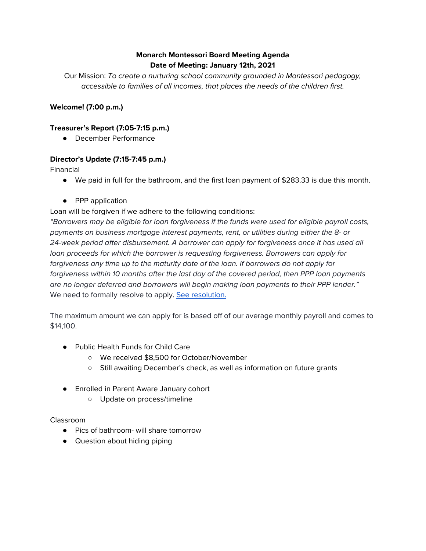# **Monarch Montessori Board Meeting Agenda Date of Meeting: January 12th, 2021**

Our Mission: To create a nurturing school community grounded in Montessori pedagogy, accessible to families of all incomes, that places the needs of the children first.

## **Welcome! (7:00 p.m.)**

### **Treasurer's Report (7:05-7:15 p.m.)**

● December Performance

## **Director's Update (7:15-7:45 p.m.)**

Financial

- We paid in full for the bathroom, and the first loan payment of \$283.33 is due this month.
- PPP application

## Loan will be forgiven if we adhere to the following conditions:

"Borrowers may be eligible for loan forgiveness if the funds were used for eligible payroll costs, payments on business mortgage interest payments, rent, or utilities during either the 8- or 24-week period after disbursement. A borrower can apply for forgiveness once it has used all loan proceeds for which the borrower is requesting forgiveness. Borrowers can apply for forgiveness any time up to the maturity date of the loan. If borrowers do not apply for forgiveness within 10 months after the last day of the covered period, then PPP loan payments are no longer deferred and borrowers will begin making loan payments to their PPP lender." We need to formally resolve to apply. See [resolution.](https://docs.google.com/document/d/1tGv8vZ3fmGHyl0C_jpLKkpD2-0vp1KphRUaWHM6i3vI/edit?usp=sharing)

The maximum amount we can apply for is based off of our average monthly payroll and comes to \$14,100.

- Public Health Funds for Child Care
	- We received \$8,500 for October/November
	- Still awaiting December's check, as well as information on future grants
- Enrolled in Parent Aware January cohort
	- Update on process/timeline

### Classroom

- Pics of bathroom- will share tomorrow
- Question about hiding piping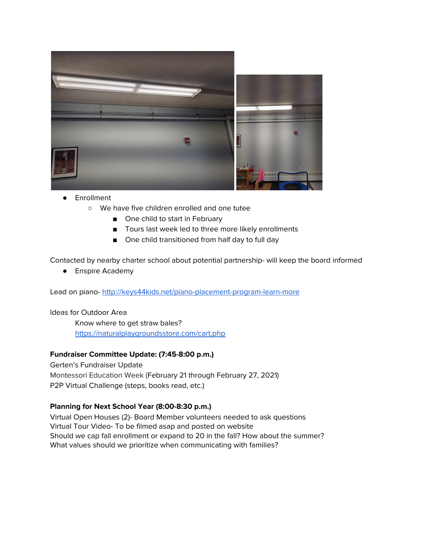

- Enrollment
	- We have five children enrolled and one tutee
		- One child to start in February
		- Tours last week led to three more likely enrollments
		- One child transitioned from half day to full day

Contacted by nearby charter school about potential partnership- will keep the board informed

● Enspire Academy

Lead on piano- <http://keys44kids.net/piano-placement-program-learn-more>

Ideas for Outdoor Area

Know where to get straw bales? <https://naturalplaygroundsstore.com/cart.php>

#### **Fundraiser Committee Update: (7:45-8:00 p.m.)**

Gerten's Fundraiser Update Montessori Education Week (February 21 through February 27, 2021) P2P Virtual Challenge (steps, books read, etc.)

#### **Planning for Next School Year (8:00-8:30 p.m.)**

Virtual Open Houses (2)- Board Member volunteers needed to ask questions Virtual Tour Video- To be filmed asap and posted on website Should we cap fall enrollment or expand to 20 in the fall? How about the summer? What values should we prioritize when communicating with families?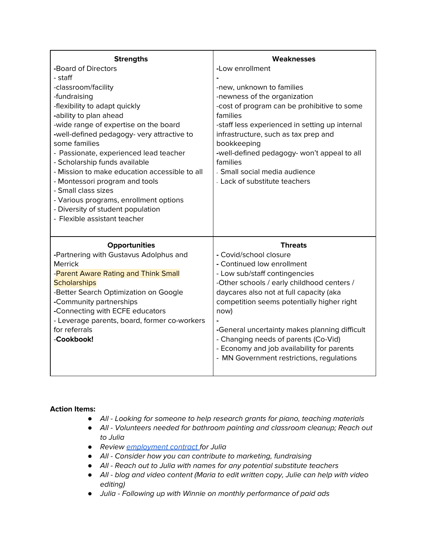| <b>Strengths</b>                                                                                      | Weaknesses                                                                                                |
|-------------------------------------------------------------------------------------------------------|-----------------------------------------------------------------------------------------------------------|
| -Board of Directors                                                                                   | -Low enrollment                                                                                           |
| - staff                                                                                               |                                                                                                           |
| -classroom/facility                                                                                   | -new, unknown to families                                                                                 |
| -fundraising                                                                                          | -newness of the organization                                                                              |
| -flexibility to adapt quickly<br>-ability to plan ahead<br>-wide range of expertise on the board      | -cost of program can be prohibitive to some<br>families<br>-staff less experienced in setting up internal |
| -well-defined pedagogy- very attractive to<br>some families<br>- Passionate, experienced lead teacher | infrastructure, such as tax prep and<br>bookkeeping<br>-well-defined pedagogy- won't appeal to all        |
| - Scholarship funds available                                                                         | families                                                                                                  |
| - Mission to make education accessible to all                                                         | - Small social media audience                                                                             |
| - Montessori program and tools                                                                        | - Lack of substitute teachers                                                                             |
| - Small class sizes                                                                                   |                                                                                                           |
| - Various programs, enrollment options                                                                |                                                                                                           |
| - Diversity of student population<br>- Flexible assistant teacher                                     |                                                                                                           |
|                                                                                                       |                                                                                                           |
| <b>Opportunities</b>                                                                                  | <b>Threats</b>                                                                                            |
| -Partnering with Gustavus Adolphus and                                                                | - Covid/school closure                                                                                    |
| <b>Merrick</b>                                                                                        | - Continued low enrollment                                                                                |
| -Parent Aware Rating and Think Small                                                                  | - Low sub/staff contingencies                                                                             |
| <b>Scholarships</b>                                                                                   | -Other schools / early childhood centers /                                                                |
| -Better Search Optimization on Google                                                                 | daycares also not at full capacity (aka                                                                   |
| -Community partnerships                                                                               | competition seems potentially higher right                                                                |
| -Connecting with ECFE educators                                                                       | now)                                                                                                      |
| - Leverage parents, board, former co-workers                                                          |                                                                                                           |
| for referrals                                                                                         | -General uncertainty makes planning difficult                                                             |
| -Cookbook!                                                                                            | - Changing needs of parents (Co-Vid)                                                                      |
|                                                                                                       | - Economy and job availability for parents                                                                |
|                                                                                                       | - MN Government restrictions, regulations                                                                 |
|                                                                                                       |                                                                                                           |

### **Action Items:**

- *●* All Looking for someone to help research grants for piano, teaching materials
- *●* All Volunteers needed for bathroom painting and classroom cleanup; Reach out to Julia
- *●* Review [employment](https://docs.google.com/document/d/1xRRmud6jhIVyvLmFNdZGQBetCQaduc3TSgVApp4Mh8Y/edit?usp=sharing) contract for Julia
- *●* All Consider how you can contribute to marketing, fundraising
- *●* All Reach out to Julia with names for any potential substitute teachers
- *●* All blog and video content (Maria to edit written copy, Julie can help with video editing)
- *●* Julia Following up with Winnie on monthly performance of paid ads